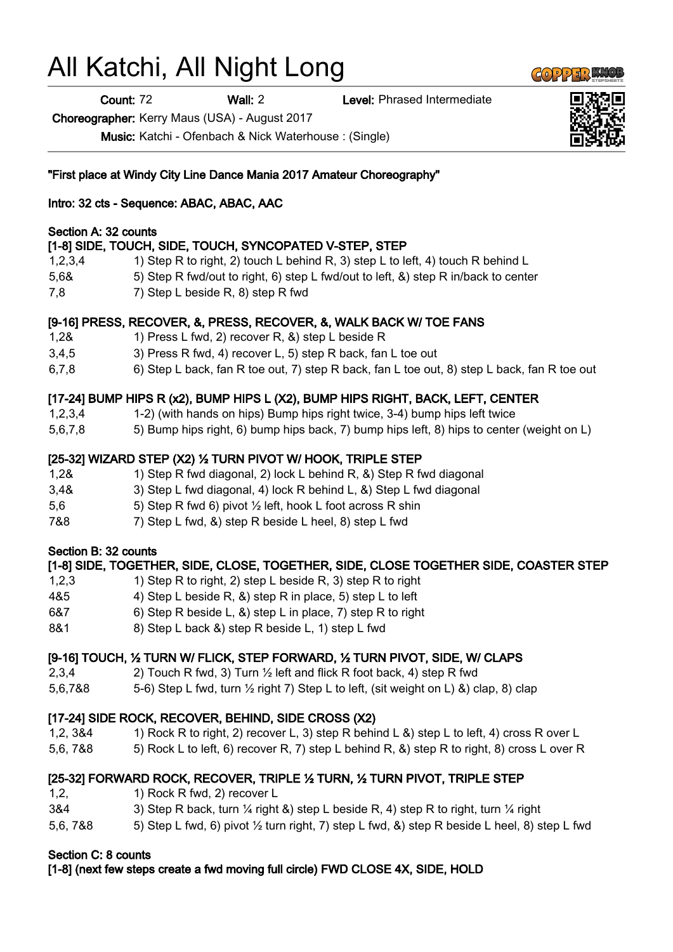# All Katchi, All Night Long

Count: 72 Wall: 2 Level: Phrased Intermediate

Choreographer: Kerry Maus (USA) - August 2017

Music: Katchi - Ofenbach & Nick Waterhouse : (Single)

#### "First place at Windy City Line Dance Mania 2017 Amateur Choreography"

#### Intro: 32 cts - Sequence: ABAC, ABAC, AAC

#### Section A: 32 counts

# [1-8] SIDE, TOUCH, SIDE, TOUCH, SYNCOPATED V-STEP, STEP

- 1,2,3,4 1) Step R to right, 2) touch L behind R, 3) step L to left, 4) touch R behind L
- 5,6& 5) Step R fwd/out to right, 6) step L fwd/out to left, &) step R in/back to center
- 7,8 7) Step L beside R, 8) step R fwd

#### [9-16] PRESS, RECOVER, &, PRESS, RECOVER, &, WALK BACK W/ TOE FANS

- 1,2& 1) Press L fwd, 2) recover R, &) step L beside R
- 3,4,5 3) Press R fwd, 4) recover L, 5) step R back, fan L toe out
- 6,7,8 6) Step L back, fan R toe out, 7) step R back, fan L toe out, 8) step L back, fan R toe out

# [17-24] BUMP HIPS R (x2), BUMP HIPS L (X2), BUMP HIPS RIGHT, BACK, LEFT, CENTER

- 1,2,3,4 1-2) (with hands on hips) Bump hips right twice, 3-4) bump hips left twice
- 5,6,7,8 5) Bump hips right, 6) bump hips back, 7) bump hips left, 8) hips to center (weight on L)

#### [25-32] WIZARD STEP (X2) ½ TURN PIVOT W/ HOOK, TRIPLE STEP

- 1,2& 1) Step R fwd diagonal, 2) lock L behind R, &) Step R fwd diagonal
- 3,4& 3) Step L fwd diagonal, 4) lock R behind L, &) Step L fwd diagonal
- 5,6 5) Step R fwd 6) pivot ½ left, hook L foot across R shin
- 7&8 7) Step L fwd, &) step R beside L heel, 8) step L fwd

#### Section B: 32 counts

# [1-8] SIDE, TOGETHER, SIDE, CLOSE, TOGETHER, SIDE, CLOSE TOGETHER SIDE, COASTER STEP 1,2,3 1) Step R to right, 2) step L beside R, 3) step R to right 4&5 4) Step L beside R, &) step R in place, 5) step L to left 6&7 6) Step R beside L, &) step L in place, 7) step R to right 8&1 8) Step L back & step R beside L, 1 step L fwd [9-16] TOUCH, ½ TURN W/ FLICK, STEP FORWARD, ½ TURN PIVOT, SIDE, W/ CLAPS 2,3,4 2) Touch R fwd, 3) Turn ½ left and flick R foot back, 4) step R fwd

5.6.7&8  $\hspace{1cm}$  5-6) Step L fwd, turn  $\frac{1}{2}$  right 7) Step L to left, (sit weight on L) &) clap, 8) clap

# [17-24] SIDE ROCK, RECOVER, BEHIND, SIDE CROSS (X2)

- 1,2, 3&4 1) Rock R to right, 2) recover L, 3) step R behind L &) step L to left, 4) cross R over L
- 5,6, 7&8 5) Rock L to left, 6) recover R, 7) step L behind R, &) step R to right, 8) cross L over R

# [25-32] FORWARD ROCK, RECOVER, TRIPLE ½ TURN, ½ TURN PIVOT, TRIPLE STEP

- 1,2, 1) Rock R fwd, 2) recover L
- 3&4 3) Step R back, turn  $\frac{1}{4}$  right &) step L beside R, 4) step R to right, turn  $\frac{1}{4}$  right
- 5,6, 7&8 5) Step L fwd, 6) pivot ½ turn right, 7) step L fwd, &) step R beside L heel, 8) step L fwd

# Section C: 8 counts

[1-8] (next few steps create a fwd moving full circle) FWD CLOSE 4X, SIDE, HOLD